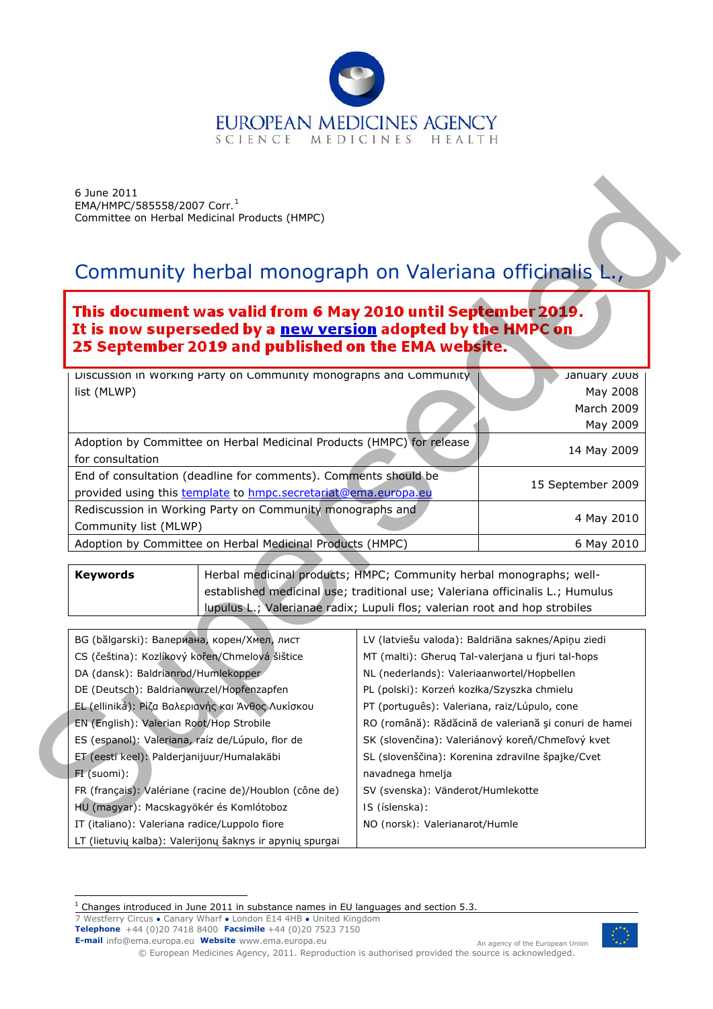

# Community herbal monograph on *Valeriana officinalis* L.,

# This document was valid from 6 May 2010 until September 2019. It is now superseded by a <u>new version</u> adopted by the HMPC on<br>25 September 2019 and published on the EMA website.

| Discussion in Working Party on Community monographs and Community<br>January 2008 |                   |
|-----------------------------------------------------------------------------------|-------------------|
| list (MLWP)                                                                       | May 2008          |
|                                                                                   | March 2009        |
|                                                                                   | May 2009          |
| Adoption by Committee on Herbal Medicinal Products (HMPC) for release             |                   |
| for consultation                                                                  | 14 May 2009       |
| End of consultation (deadline for comments). Comments should be                   | 15 September 2009 |
| provided using this template to hmpc.secretariat@ema.europa.eu                    |                   |
| Rediscussion in Working Party on Community monographs and                         |                   |
| Community list (MLWP)                                                             | 4 May 2010        |
| Adoption by Committee on Herbal Medicinal Products (HMPC)                         | 6 May 2010        |

| 6 June 2011<br>EMA/HMPC/585558/2007 Corr. <sup>1</sup> | Committee on Herbal Medicinal Products (HMPC)                                                                                                                                                                                      |                                                   |                                                       |
|--------------------------------------------------------|------------------------------------------------------------------------------------------------------------------------------------------------------------------------------------------------------------------------------------|---------------------------------------------------|-------------------------------------------------------|
|                                                        | Community herbal monograph on Valeriana officinalis L.,                                                                                                                                                                            |                                                   |                                                       |
|                                                        | This document was valid from 6 May 2010 until September 2019.<br>It is now superseded by a new version adopted by the HMPC on<br>25 September 2019 and published on the EMA website.                                               |                                                   |                                                       |
|                                                        | Discussion in Working Party on Community monographs and Community                                                                                                                                                                  |                                                   | January 2008                                          |
| list (MLWP)                                            |                                                                                                                                                                                                                                    |                                                   | May 2008                                              |
|                                                        |                                                                                                                                                                                                                                    |                                                   | March 2009                                            |
|                                                        |                                                                                                                                                                                                                                    |                                                   | May 2009                                              |
| for consultation                                       | Adoption by Committee on Herbal Medicinal Products (HMPC) for release                                                                                                                                                              |                                                   | 14 May 2009                                           |
|                                                        | End of consultation (deadline for comments). Comments should be<br>provided using this template to hmpc.secretariat@ema.europa.eu                                                                                                  |                                                   | 15 September 2009                                     |
| Community list (MLWP)                                  | Rediscussion in Working Party on Community monographs and                                                                                                                                                                          |                                                   | 4 May 2010                                            |
|                                                        | Adoption by Committee on Herbal Medicinal Products (HMPC)                                                                                                                                                                          |                                                   | 6 May 2010                                            |
| <b>Keywords</b>                                        | Herbal medicinal products; HMPC; Community herbal monographs; well-<br>established medicinal use; traditional use; Valeriana officinalis L.; Humulus<br>lupulus L.; Valerianae radix; Lupuli flos; valerian root and hop strobiles |                                                   |                                                       |
|                                                        | BG (bălgarski): Валериана, корен/Хмел, лист                                                                                                                                                                                        |                                                   | LV (latviešu valoda): Baldriāna saknes/Apiņu ziedi    |
|                                                        | CS (čeština): Kozlíkový kořen/Chmelová šištice                                                                                                                                                                                     | MT (malti): Gheruq Tal-valerjana u fjuri tal-hops |                                                       |
| DA (dansk): Baldrianrod/Humlekopper                    |                                                                                                                                                                                                                                    | NL (nederlands): Valeriaanwortel/Hopbellen        |                                                       |
|                                                        | DE (Deutsch): Baldrianwurzel/Hopfenzapfen                                                                                                                                                                                          | PL (polski): Korzeń kozłka/Szyszka chmielu        |                                                       |
|                                                        | EL (elliniká): Ρίζα Βαλεριανής και Άνθος Λυκίσκου                                                                                                                                                                                  | PT (português): Valeriana, raiz/Lúpulo, cone      |                                                       |
| EN (English): Valerian Root/Hop Strobile               |                                                                                                                                                                                                                                    |                                                   | RO (română): Rădăcină de valeriană și conuri de hamei |
|                                                        | ES (espanol): Valeriana, raíz de/Lúpulo, flor de                                                                                                                                                                                   |                                                   | SK (slovenčina): Valeriánový koreň/Chmeľový kvet      |
|                                                        | ET (eesti keel): Palderjanijuur/Humalakäbi                                                                                                                                                                                         | SL (slovenščina): Korenina zdravilne špajke/Cvet  |                                                       |
| FI (suomi):                                            |                                                                                                                                                                                                                                    | navadnega hmelja                                  |                                                       |
|                                                        | FR (français): Valériane (racine de)/Houblon (cône de)                                                                                                                                                                             | SV (svenska): Vänderot/Humlekotte                 |                                                       |
|                                                        | HU (magyar): Macskagyökér és Komlótoboz                                                                                                                                                                                            | IS (íslenska):                                    |                                                       |
|                                                        | IT (italiano): Valeriana radice/Luppolo fiore                                                                                                                                                                                      | NO (norsk): Valerianarot/Humle                    |                                                       |
|                                                        | LT (lietuvių kalba): Valerijonų šaknys ir apynių spurgai                                                                                                                                                                           |                                                   |                                                       |

7 Westferry Circus **●** Canary Wharf **●** London E14 4HB **●** United Kingdom **Telephone** +44 (0)20 7418 8400 **Facsimile** +44 (0)20 7523 7150

**E-mail** info@ema.europa.eu **Website** www.ema.europa.eu An agency of the European Union



© European Medicines Agency, 2011. Reproduction is authorised provided the source is acknowledged.

<span id="page-0-0"></span> $1$  Changes introduced in June 2011 in substance names in EU languages and section 5.3.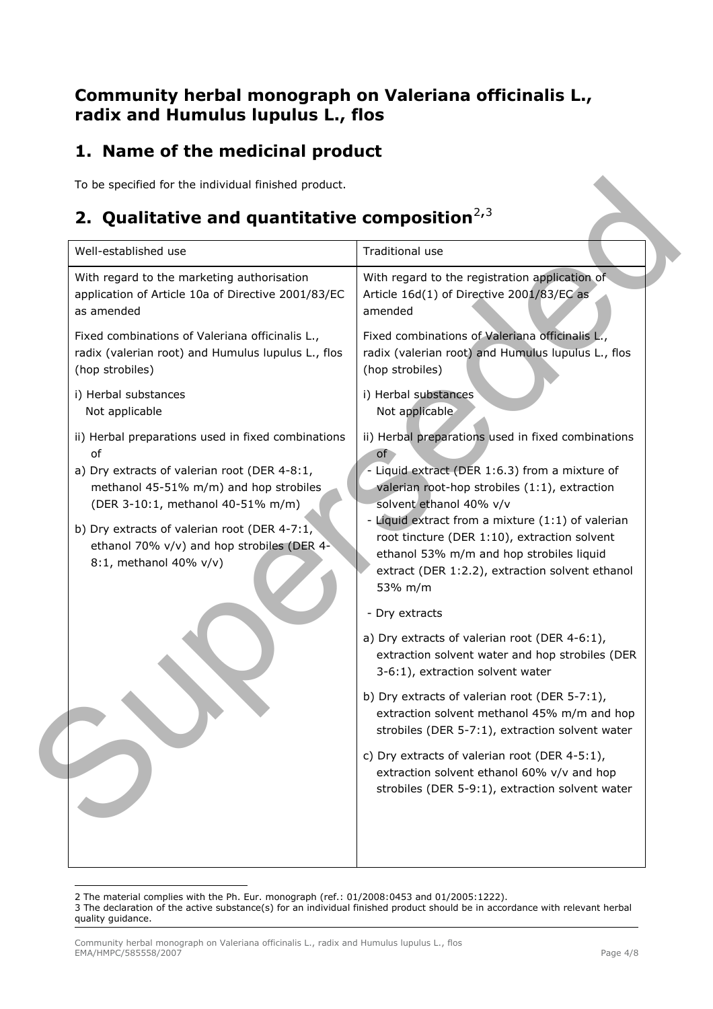### **Community herbal monograph on** *Valeriana officinalis* **L., radix and** *Humulus lupulus* **L., flos**

## **1. Name of the medicinal product**

## **2. Qualitative and quantitative composition**<sup>2,3</sup>

| Well-established use                                                                                                                                                                                                                                                                                            | Traditional use                                                                                                                                                                                                                                                                                                                                                                                                                                                                                                                                               |
|-----------------------------------------------------------------------------------------------------------------------------------------------------------------------------------------------------------------------------------------------------------------------------------------------------------------|---------------------------------------------------------------------------------------------------------------------------------------------------------------------------------------------------------------------------------------------------------------------------------------------------------------------------------------------------------------------------------------------------------------------------------------------------------------------------------------------------------------------------------------------------------------|
| With regard to the marketing authorisation<br>application of Article 10a of Directive 2001/83/EC<br>as amended                                                                                                                                                                                                  | With regard to the registration application of<br>Article 16d(1) of Directive 2001/83/EC as<br>amended                                                                                                                                                                                                                                                                                                                                                                                                                                                        |
| Fixed combinations of Valeriana officinalis L.,<br>radix (valerian root) and Humulus lupulus L., flos<br>(hop strobiles)                                                                                                                                                                                        | Fixed combinations of Valeriana officinalis L.,<br>radix (valerian root) and Humulus lupulus L., flos<br>(hop strobiles)                                                                                                                                                                                                                                                                                                                                                                                                                                      |
| i) Herbal substances<br>Not applicable                                                                                                                                                                                                                                                                          | i) Herbal substances<br>Not applicable                                                                                                                                                                                                                                                                                                                                                                                                                                                                                                                        |
| ii) Herbal preparations used in fixed combinations<br>of<br>a) Dry extracts of valerian root (DER 4-8:1,<br>methanol 45-51% m/m) and hop strobiles<br>(DER 3-10:1, methanol 40-51% m/m)<br>b) Dry extracts of valerian root (DER 4-7:1,<br>ethanol 70% v/v) and hop strobiles (DER 4-<br>8:1, methanol 40% v/v) | ii) Herbal preparations used in fixed combinations<br>of<br>Liquid extract (DER 1:6.3) from a mixture of<br>valerian root-hop strobiles (1:1), extraction<br>solvent ethanol 40% v/v<br>- Liquid extract from a mixture (1:1) of valerian<br>root tincture (DER 1:10), extraction solvent<br>ethanol 53% m/m and hop strobiles liquid<br>extract (DER 1:2.2), extraction solvent ethanol<br>53% m/m<br>- Dry extracts<br>a) Dry extracts of valerian root (DER 4-6:1),<br>extraction solvent water and hop strobiles (DER<br>3-6:1), extraction solvent water |
|                                                                                                                                                                                                                                                                                                                 | b) Dry extracts of valerian root (DER 5-7:1),<br>extraction solvent methanol 45% m/m and hop<br>strobiles (DER 5-7:1), extraction solvent water                                                                                                                                                                                                                                                                                                                                                                                                               |
|                                                                                                                                                                                                                                                                                                                 | c) Dry extracts of valerian root (DER 4-5:1),<br>extraction solvent ethanol 60% v/v and hop<br>strobiles (DER 5-9:1), extraction solvent water                                                                                                                                                                                                                                                                                                                                                                                                                |

ł 2 The material complies with the Ph. Eur. monograph (ref.: 01/2008:0453 and 01/2005:1222).

<span id="page-1-1"></span><span id="page-1-0"></span><sup>3</sup> The declaration of the active substance(s) for an individual finished product should be in accordance with relevant herbal quality guidance.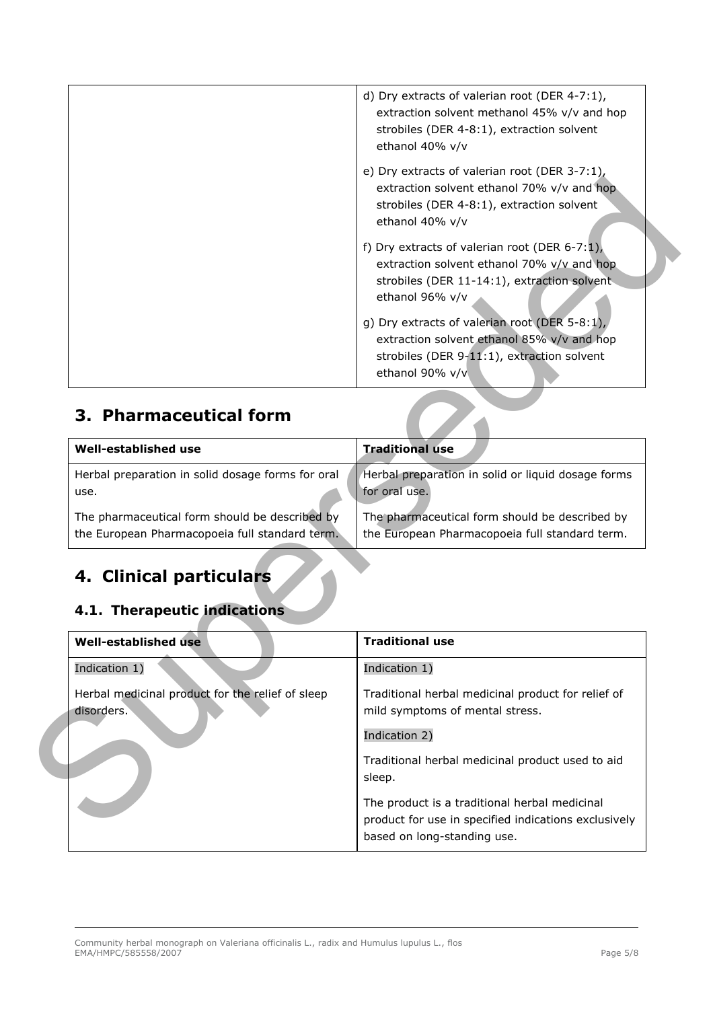|                                                                                                  | d) Dry extracts of valerian root (DER 4-7:1),<br>extraction solvent methanol 45% v/v and hop<br>strobiles (DER 4-8:1), extraction solvent<br>ethanol 40% v/v  |
|--------------------------------------------------------------------------------------------------|---------------------------------------------------------------------------------------------------------------------------------------------------------------|
|                                                                                                  | e) Dry extracts of valerian root (DER 3-7:1),<br>extraction solvent ethanol 70% v/v and hop<br>strobiles (DER 4-8:1), extraction solvent<br>ethanol 40% v/v   |
|                                                                                                  | f) Dry extracts of valerian root (DER 6-7:1),<br>extraction solvent ethanol 70% v/v and hop<br>strobiles (DER 11-14:1), extraction solvent<br>ethanol 96% v/v |
|                                                                                                  | g) Dry extracts of valerian root (DER 5-8:1),<br>extraction solvent ethanol 85% v/v and hop<br>strobiles (DER 9-11:1), extraction solvent<br>ethanol 90% v/v  |
| 3. Pharmaceutical form                                                                           |                                                                                                                                                               |
| Well-established use                                                                             | <b>Traditional use</b>                                                                                                                                        |
| Herbal preparation in solid dosage forms for oral<br>use.                                        | Herbal preparation in solid or liquid dosage forms<br>for oral use.                                                                                           |
| The pharmaceutical form should be described by<br>the European Pharmacopoeia full standard term. | The pharmaceutical form should be described by<br>the European Pharmacopoeia full standard term.                                                              |
| 4. Clinical particulars<br>4.1. Therapeutic indications                                          |                                                                                                                                                               |
| Well-established use                                                                             | <b>Traditional use</b>                                                                                                                                        |
| Indication 1)                                                                                    | Indication 1)                                                                                                                                                 |
| Herbal medicinal product for the relief of sleep<br>disorders.                                   | Traditional herbal medicinal product for relief of<br>mild symptoms of mental stress.                                                                         |
|                                                                                                  | Indication 2)                                                                                                                                                 |
|                                                                                                  | Traditional herbal medicinal product used to aid<br>sleep.                                                                                                    |
|                                                                                                  | The product is a traditional herbal medicinal<br>product for use in specified indications exclusively                                                         |

## **3. Pharmaceutical form**

| Well-established use                              | <b>Traditional use</b>                             |
|---------------------------------------------------|----------------------------------------------------|
| Herbal preparation in solid dosage forms for oral | Herbal preparation in solid or liquid dosage forms |
| use.                                              | for oral use.                                      |
| The pharmaceutical form should be described by    | The pharmaceutical form should be described by     |
| the European Pharmacopoeia full standard term.    | the European Pharmacopoeia full standard term.     |

## **4. Clinical particulars**

### *4.1. Therapeutic indications*

| Well-established use                                           | <b>Traditional use</b>                                                                                                               |
|----------------------------------------------------------------|--------------------------------------------------------------------------------------------------------------------------------------|
| Indication 1)                                                  | Indication 1)                                                                                                                        |
| Herbal medicinal product for the relief of sleep<br>disorders. | Traditional herbal medicinal product for relief of<br>mild symptoms of mental stress.                                                |
|                                                                | Indication 2)                                                                                                                        |
|                                                                | Traditional herbal medicinal product used to aid<br>sleep.                                                                           |
|                                                                | The product is a traditional herbal medicinal<br>product for use in specified indications exclusively<br>based on long-standing use. |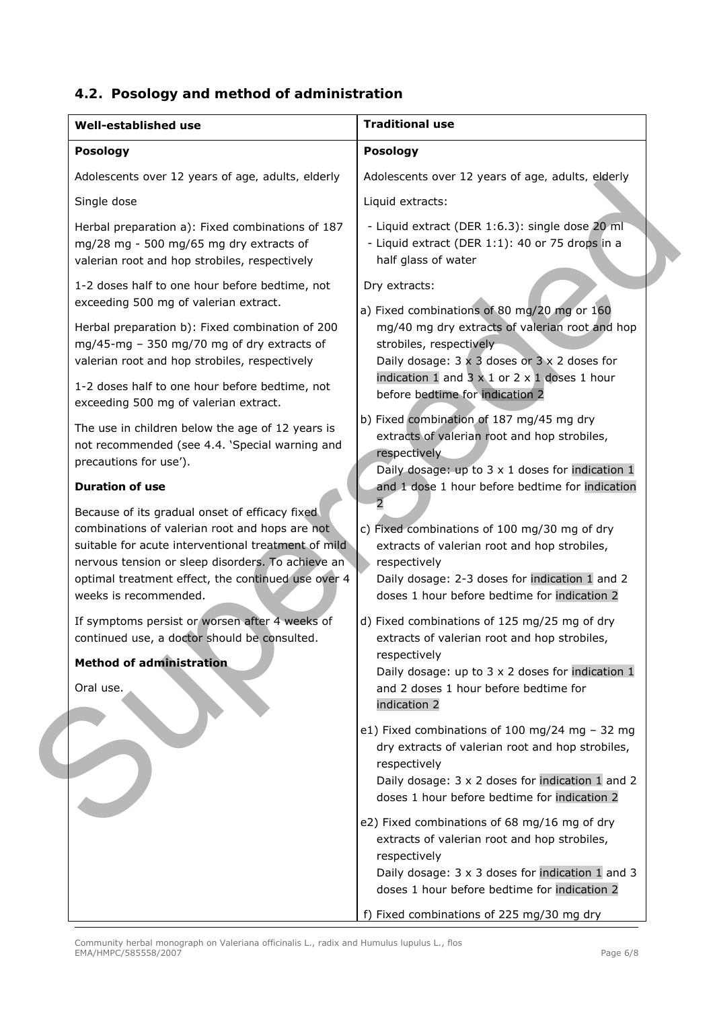#### *4.2. Posology and method of administration*

| <b>Well-established use</b>                                                                                                                                                                                                                                                                 | <b>Traditional use</b>                                                                                                                                                                                                                   |
|---------------------------------------------------------------------------------------------------------------------------------------------------------------------------------------------------------------------------------------------------------------------------------------------|------------------------------------------------------------------------------------------------------------------------------------------------------------------------------------------------------------------------------------------|
| <b>Posology</b>                                                                                                                                                                                                                                                                             | <b>Posology</b>                                                                                                                                                                                                                          |
| Adolescents over 12 years of age, adults, elderly                                                                                                                                                                                                                                           | Adolescents over 12 years of age, adults, elderly                                                                                                                                                                                        |
| Single dose                                                                                                                                                                                                                                                                                 | Liquid extracts:                                                                                                                                                                                                                         |
| Herbal preparation a): Fixed combinations of 187<br>mg/28 mg - 500 mg/65 mg dry extracts of<br>valerian root and hop strobiles, respectively                                                                                                                                                | - Liquid extract (DER 1:6.3): single dose 20 ml<br>- Liquid extract (DER 1:1): 40 or 75 drops in a<br>half glass of water                                                                                                                |
| 1-2 doses half to one hour before bedtime, not<br>exceeding 500 mg of valerian extract.                                                                                                                                                                                                     | Dry extracts:<br>a) Fixed combinations of 80 mg/20 mg or 160                                                                                                                                                                             |
| Herbal preparation b): Fixed combination of 200<br>mg/45-mg - 350 mg/70 mg of dry extracts of<br>valerian root and hop strobiles, respectively<br>1-2 doses half to one hour before bedtime, not<br>exceeding 500 mg of valerian extract.                                                   | mg/40 mg dry extracts of valerian root and hop<br>strobiles, respectively<br>Daily dosage: $3 \times 3$ doses or $3 \times 2$ doses for<br>indication 1 and 3 $\times$ 1 or 2 $\times$ 1 doses 1 hour<br>before bedtime for indication 2 |
| The use in children below the age of 12 years is<br>not recommended (see 4.4. 'Special warning and<br>precautions for use').                                                                                                                                                                | b) Fixed combination of 187 mg/45 mg dry<br>extracts of valerian root and hop strobiles,<br>respectively<br>Daily dosage: up to $3 \times 1$ doses for indication 1                                                                      |
| <b>Duration of use</b>                                                                                                                                                                                                                                                                      | and 1 dose 1 hour before bedtime for indication                                                                                                                                                                                          |
| Because of its gradual onset of efficacy fixed<br>combinations of valerian root and hops are not<br>suitable for acute interventional treatment of mild<br>nervous tension or sleep disorders. To achieve an<br>optimal treatment effect, the continued use over 4<br>weeks is recommended. | c) Fixed combinations of 100 mg/30 mg of dry<br>extracts of valerian root and hop strobiles,<br>respectively<br>Daily dosage: 2-3 doses for indication 1 and 2<br>doses 1 hour before bedtime for indication 2                           |
| If symptoms persist or worsen after 4 weeks of<br>continued use, a doctor should be consulted.<br><b>Method of administration</b><br>Oral use.                                                                                                                                              | d) Fixed combinations of 125 mg/25 mg of dry<br>extracts of valerian root and hop strobiles,<br>respectively<br>Daily dosage: up to 3 x 2 doses for indication 1<br>and 2 doses 1 hour before bedtime for<br>indication 2                |
|                                                                                                                                                                                                                                                                                             | e1) Fixed combinations of 100 mg/24 mg $-$ 32 mg<br>dry extracts of valerian root and hop strobiles,<br>respectively<br>Daily dosage: 3 x 2 doses for indication 1 and 2<br>doses 1 hour before bedtime for indication 2                 |
|                                                                                                                                                                                                                                                                                             | e2) Fixed combinations of 68 mg/16 mg of dry<br>extracts of valerian root and hop strobiles,<br>respectively<br>Daily dosage: 3 x 3 doses for indication 1 and 3<br>doses 1 hour before bedtime for indication 2                         |
|                                                                                                                                                                                                                                                                                             | f) Fixed combinations of 225 mg/30 mg dry                                                                                                                                                                                                |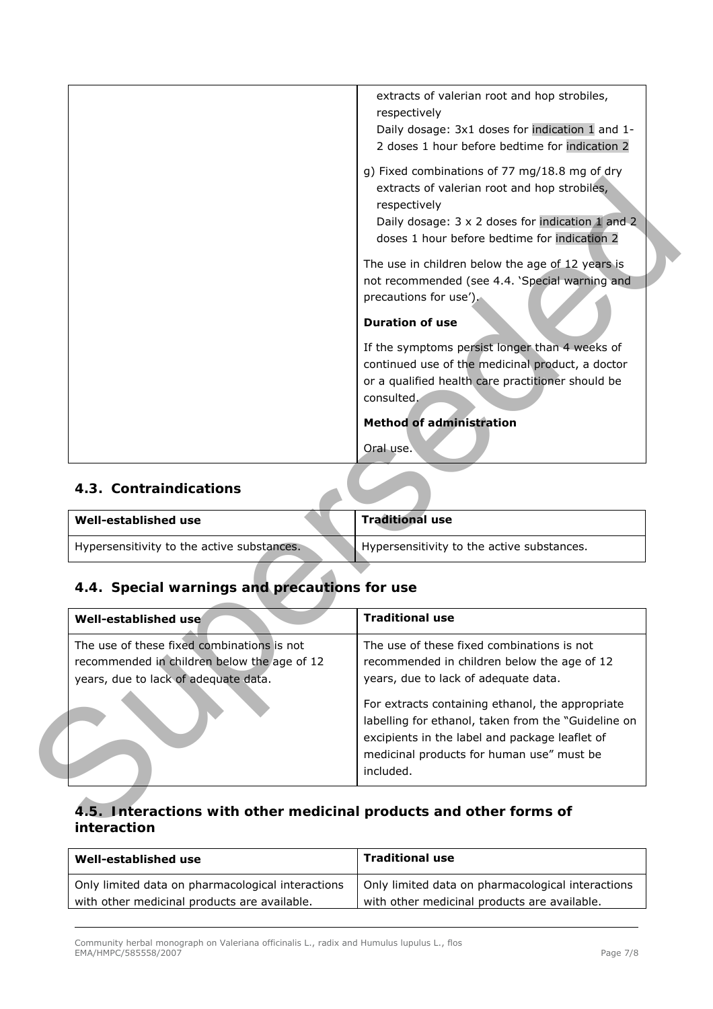| recommended in children below the age of 12<br>years, due to lack of adequate data. | years, due to lack of adequate data.                                                                                         |
|-------------------------------------------------------------------------------------|------------------------------------------------------------------------------------------------------------------------------|
| The use of these fixed combinations is not                                          | The use of these fixed combinations is not<br>recommended in children below the age of 12                                    |
| Well-established use                                                                | <b>Traditional use</b>                                                                                                       |
| 4.4. Special warnings and precautions for use                                       |                                                                                                                              |
| Hypersensitivity to the active substances.                                          | Hypersensitivity to the active substances.                                                                                   |
| <b>Well-established use</b>                                                         | <b>Traditional use</b>                                                                                                       |
| 4.3. Contraindications                                                              |                                                                                                                              |
|                                                                                     | Oral use.                                                                                                                    |
|                                                                                     | consulted.<br><b>Method of administration</b>                                                                                |
|                                                                                     | continued use of the medicinal product, a doctor<br>or a qualified health care practitioner should be                        |
|                                                                                     | If the symptoms persist longer than 4 weeks of                                                                               |
|                                                                                     | <b>Duration of use</b>                                                                                                       |
|                                                                                     | The use in children below the age of 12 years is<br>not recommended (see 4.4. 'Special warning and<br>precautions for use'). |
|                                                                                     | respectively<br>Daily dosage: 3 x 2 doses for indication 1 and 2<br>doses 1 hour before bedtime for indication 2             |
|                                                                                     | g) Fixed combinations of 77 mg/18.8 mg of dry<br>extracts of valerian root and hop strobiles,                                |
|                                                                                     | respectively<br>Daily dosage: 3x1 doses for indication 1 and 1-<br>2 doses 1 hour before bedtime for indication 2            |

#### *4.3. Contraindications*

| Well-established use                       | <b>Traditional use</b>                     |
|--------------------------------------------|--------------------------------------------|
| Hypersensitivity to the active substances. | Hypersensitivity to the active substances. |

#### *4.4. Special warnings and precautions for use*

| Well-established use                                                                                                              | <b>Traditional use</b>                                                                                                                                                                                                                                                                                                                                   |
|-----------------------------------------------------------------------------------------------------------------------------------|----------------------------------------------------------------------------------------------------------------------------------------------------------------------------------------------------------------------------------------------------------------------------------------------------------------------------------------------------------|
| The use of these fixed combinations is not<br>recommended in children below the age of 12<br>years, due to lack of adequate data. | The use of these fixed combinations is not<br>recommended in children below the age of 12<br>years, due to lack of adequate data.<br>For extracts containing ethanol, the appropriate<br>labelling for ethanol, taken from the "Guideline on<br>excipients in the label and package leaflet of<br>medicinal products for human use" must be<br>included. |

#### *4.5. Interactions with other medicinal products and other forms of interaction*

| Well-established use                              | <b>Traditional use</b>                            |
|---------------------------------------------------|---------------------------------------------------|
| Only limited data on pharmacological interactions | Only limited data on pharmacological interactions |
| with other medicinal products are available.      | with other medicinal products are available.      |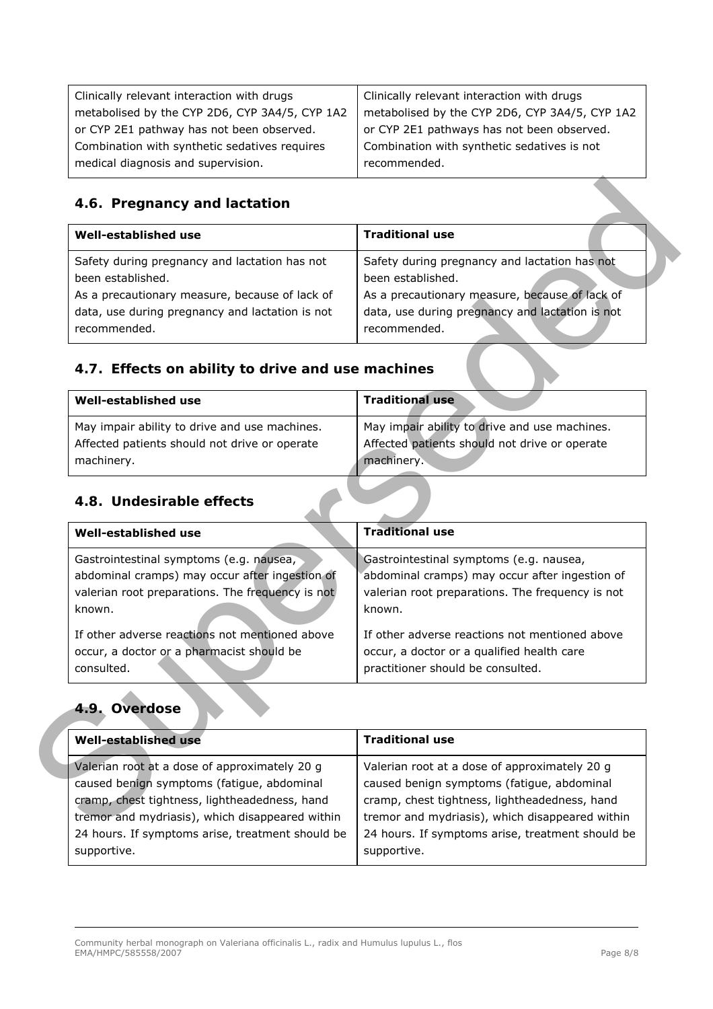| Clinically relevant interaction with drugs     | Clinically relevant interaction with drugs     |
|------------------------------------------------|------------------------------------------------|
| metabolised by the CYP 2D6, CYP 3A4/5, CYP 1A2 | metabolised by the CYP 2D6, CYP 3A4/5, CYP 1A2 |
| or CYP 2E1 pathway has not been observed.      | or CYP 2E1 pathways has not been observed.     |
| Combination with synthetic sedatives requires  | Combination with synthetic sedatives is not    |
| medical diagnosis and supervision.             | recommended.                                   |
|                                                |                                                |

#### *4.6. Pregnancy and lactation*

| Well-established use                            | <b>Traditional use</b>                          |
|-------------------------------------------------|-------------------------------------------------|
| Safety during pregnancy and lactation has not   | Safety during pregnancy and lactation has not   |
| been established.                               | been established.                               |
| As a precautionary measure, because of lack of  | As a precautionary measure, because of lack of  |
| data, use during pregnancy and lactation is not | data, use during pregnancy and lactation is not |
| recommended.                                    | recommended.                                    |

### *4.7. Effects on ability to drive and use machines*

| Well-established use                          | <b>Traditional use</b>                        |
|-----------------------------------------------|-----------------------------------------------|
| May impair ability to drive and use machines. | May impair ability to drive and use machines. |
| Affected patients should not drive or operate | Affected patients should not drive or operate |
| machinery.                                    | machinery.                                    |

#### *4.8. Undesirable effects*

| Safety during pregnancy and lactation has not<br>been established.                                                                           |
|----------------------------------------------------------------------------------------------------------------------------------------------|
| As a precautionary measure, because of lack of<br>data, use during pregnancy and lactation is not<br>recommended.                            |
| 4.7. Effects on ability to drive and use machines                                                                                            |
| <b>Traditional use</b>                                                                                                                       |
| May impair ability to drive and use machines.<br>Affected patients should not drive or operate<br>machinery.                                 |
| <b>Traditional use</b>                                                                                                                       |
| Gastrointestinal symptoms (e.g. nausea,                                                                                                      |
| abdominal cramps) may occur after ingestion of<br>valerian root preparations. The frequency is not                                           |
| If other adverse reactions not mentioned above<br>occur, a doctor or a qualified health care<br>practitioner should be consulted.            |
|                                                                                                                                              |
| <b>Traditional use</b>                                                                                                                       |
| Valerian root at a dose of approximately 20 g<br>caused benign symptoms (fatigue, abdominal<br>cramp, chest tightness, lightheadedness, hand |
| tremor and mydriasis), which disappeared within                                                                                              |

#### *4.9. Overdose*

| Well-established use                             | <b>Traditional use</b>                           |
|--------------------------------------------------|--------------------------------------------------|
| Valerian root at a dose of approximately 20 g    | Valerian root at a dose of approximately 20 g    |
| caused benign symptoms (fatigue, abdominal       | caused benign symptoms (fatigue, abdominal       |
| cramp, chest tightness, lightheadedness, hand    | cramp, chest tightness, lightheadedness, hand    |
| tremor and mydriasis), which disappeared within  | tremor and mydriasis), which disappeared within  |
| 24 hours. If symptoms arise, treatment should be | 24 hours. If symptoms arise, treatment should be |
| supportive.                                      | supportive.                                      |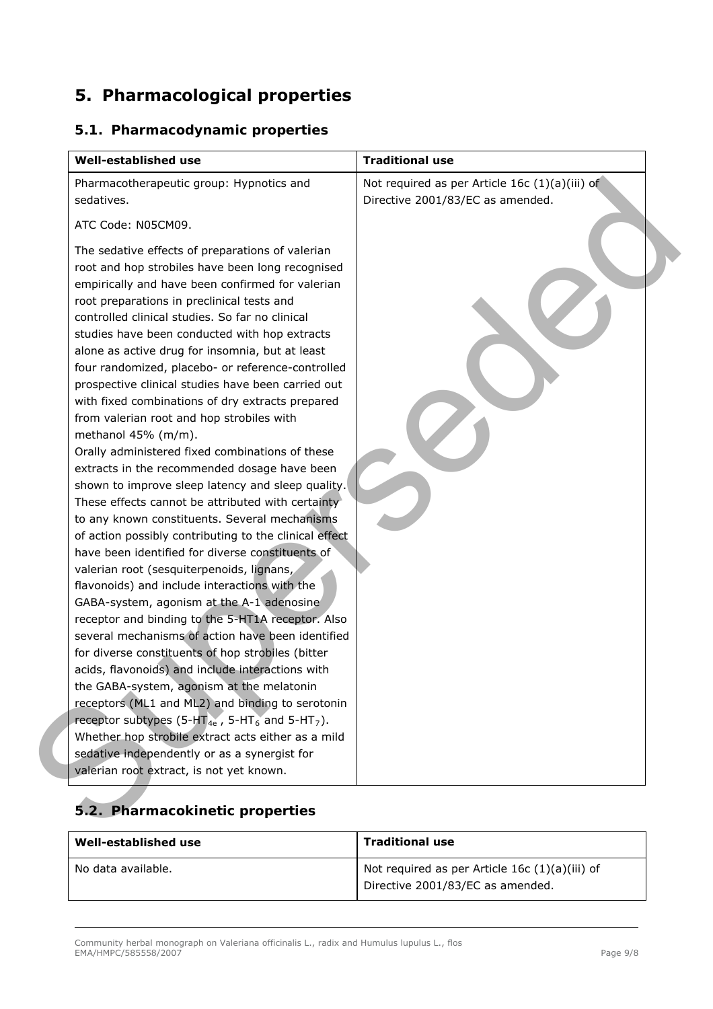## **5. Pharmacological properties**

#### *5.1. Pharmacodynamic properties*

| Pharmacotherapeutic group: Hypnotics and<br>sedatives.                                                                                                                                                                                                                                                                                                                                                                                                                                                                                                                                                                                                                                                                                                                                                                                                                                                                                                                                                                                                                                                                                                                                                                                                                                                                                                                                                                                                                                                                                                                                                                                                                              | Not required as per Article 16c (1)(a)(iii) of<br>Directive 2001/83/EC as amended. |
|-------------------------------------------------------------------------------------------------------------------------------------------------------------------------------------------------------------------------------------------------------------------------------------------------------------------------------------------------------------------------------------------------------------------------------------------------------------------------------------------------------------------------------------------------------------------------------------------------------------------------------------------------------------------------------------------------------------------------------------------------------------------------------------------------------------------------------------------------------------------------------------------------------------------------------------------------------------------------------------------------------------------------------------------------------------------------------------------------------------------------------------------------------------------------------------------------------------------------------------------------------------------------------------------------------------------------------------------------------------------------------------------------------------------------------------------------------------------------------------------------------------------------------------------------------------------------------------------------------------------------------------------------------------------------------------|------------------------------------------------------------------------------------|
| ATC Code: N05CM09.                                                                                                                                                                                                                                                                                                                                                                                                                                                                                                                                                                                                                                                                                                                                                                                                                                                                                                                                                                                                                                                                                                                                                                                                                                                                                                                                                                                                                                                                                                                                                                                                                                                                  |                                                                                    |
| The sedative effects of preparations of valerian<br>root and hop strobiles have been long recognised<br>empirically and have been confirmed for valerian<br>root preparations in preclinical tests and<br>controlled clinical studies. So far no clinical<br>studies have been conducted with hop extracts<br>alone as active drug for insomnia, but at least<br>four randomized, placebo- or reference-controlled<br>prospective clinical studies have been carried out<br>with fixed combinations of dry extracts prepared<br>from valerian root and hop strobiles with<br>methanol 45% (m/m).<br>Orally administered fixed combinations of these<br>extracts in the recommended dosage have been<br>shown to improve sleep latency and sleep quality.<br>These effects cannot be attributed with certainty<br>to any known constituents. Several mechanisms<br>of action possibly contributing to the clinical effect<br>have been identified for diverse constituents of<br>valerian root (sesquiterpenoids, lignans,<br>flavonoids) and include interactions with the<br>GABA-system, agonism at the A-1 adenosine<br>receptor and binding to the 5-HT1A receptor. Also<br>several mechanisms of action have been identified<br>for diverse constituents of hop strobiles (bitter<br>acids, flavonoids) and include interactions with<br>the GABA-system, agonism at the melatonin<br>receptors (ML1 and ML2) and binding to serotonin<br>receptor subtypes (5-HT <sub>4e</sub> , 5-HT <sub>6</sub> and 5-HT <sub>7</sub> ).<br>Whether hop strobile extract acts either as a mild<br>sedative independently or as a synergist for<br>valerian root extract, is not yet known. |                                                                                    |

## *5.2. Pharmacokinetic properties*

| Well-established use | <b>Traditional use</b>                                                               |
|----------------------|--------------------------------------------------------------------------------------|
| No data available.   | Not required as per Article 16c $(1)(a)(iii)$ of<br>Directive 2001/83/EC as amended. |